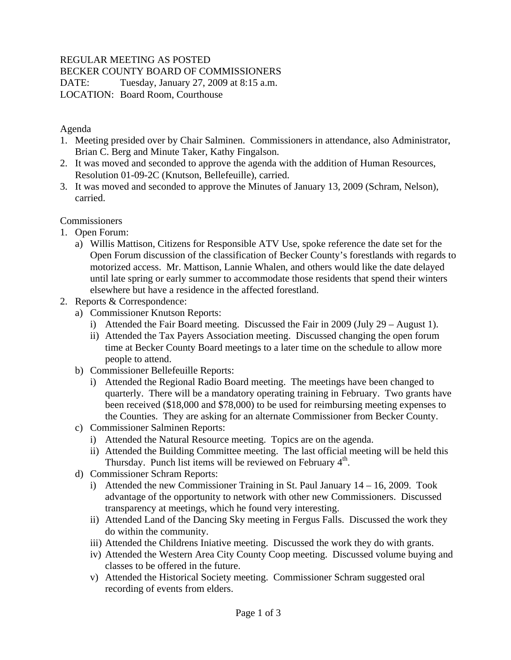# REGULAR MEETING AS POSTED

BECKER COUNTY BOARD OF COMMISSIONERS

DATE: Tuesday, January 27, 2009 at 8:15 a.m. LOCATION: Board Room, Courthouse

## Agenda

- 1. Meeting presided over by Chair Salminen. Commissioners in attendance, also Administrator, Brian C. Berg and Minute Taker, Kathy Fingalson.
- 2. It was moved and seconded to approve the agenda with the addition of Human Resources, Resolution 01-09-2C (Knutson, Bellefeuille), carried.
- 3. It was moved and seconded to approve the Minutes of January 13, 2009 (Schram, Nelson), carried.

# **Commissioners**

- 1. Open Forum:
	- a) Willis Mattison, Citizens for Responsible ATV Use, spoke reference the date set for the Open Forum discussion of the classification of Becker County's forestlands with regards to motorized access. Mr. Mattison, Lannie Whalen, and others would like the date delayed until late spring or early summer to accommodate those residents that spend their winters elsewhere but have a residence in the affected forestland.
- 2. Reports & Correspondence:
	- a) Commissioner Knutson Reports:
		- i) Attended the Fair Board meeting. Discussed the Fair in 2009 (July 29 August 1).
		- ii) Attended the Tax Payers Association meeting. Discussed changing the open forum time at Becker County Board meetings to a later time on the schedule to allow more people to attend.
	- b) Commissioner Bellefeuille Reports:
		- i) Attended the Regional Radio Board meeting. The meetings have been changed to quarterly. There will be a mandatory operating training in February. Two grants have been received (\$18,000 and \$78,000) to be used for reimbursing meeting expenses to the Counties. They are asking for an alternate Commissioner from Becker County.
	- c) Commissioner Salminen Reports:
		- i) Attended the Natural Resource meeting. Topics are on the agenda.
		- ii) Attended the Building Committee meeting. The last official meeting will be held this Thursday. Punch list items will be reviewed on February  $4<sup>th</sup>$ .
	- d) Commissioner Schram Reports:
		- i) Attended the new Commissioner Training in St. Paul January 14 16, 2009. Took advantage of the opportunity to network with other new Commissioners. Discussed transparency at meetings, which he found very interesting.
		- ii) Attended Land of the Dancing Sky meeting in Fergus Falls. Discussed the work they do within the community.
		- iii) Attended the Childrens Iniative meeting. Discussed the work they do with grants.
		- iv) Attended the Western Area City County Coop meeting. Discussed volume buying and classes to be offered in the future.
		- v) Attended the Historical Society meeting. Commissioner Schram suggested oral recording of events from elders.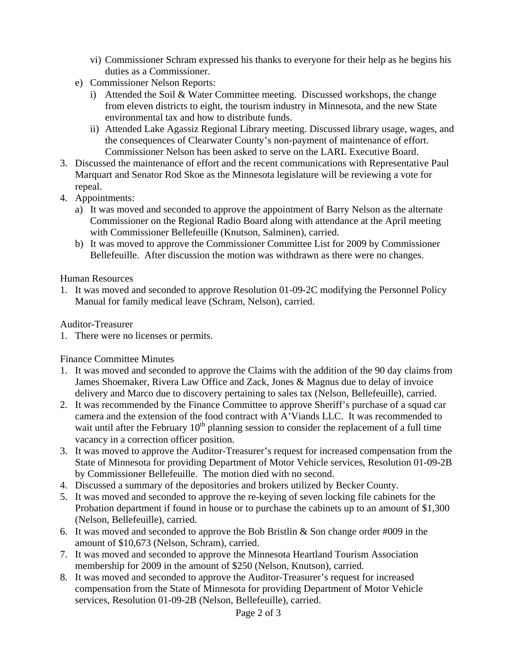- vi) Commissioner Schram expressed his thanks to everyone for their help as he begins his duties as a Commissioner.
- e) Commissioner Nelson Reports:
	- i) Attended the Soil & Water Committee meeting. Discussed workshops, the change from eleven districts to eight, the tourism industry in Minnesota, and the new State environmental tax and how to distribute funds.
	- ii) Attended Lake Agassiz Regional Library meeting. Discussed library usage, wages, and the consequences of Clearwater County's non-payment of maintenance of effort. Commissioner Nelson has been asked to serve on the LARL Executive Board.
- 3. Discussed the maintenance of effort and the recent communications with Representative Paul Marquart and Senator Rod Skoe as the Minnesota legislature will be reviewing a vote for repeal.
- 4. Appointments:
	- a) It was moved and seconded to approve the appointment of Barry Nelson as the alternate Commissioner on the Regional Radio Board along with attendance at the April meeting with Commissioner Bellefeuille (Knutson, Salminen), carried.
	- b) It was moved to approve the Commissioner Committee List for 2009 by Commissioner Bellefeuille. After discussion the motion was withdrawn as there were no changes.

#### Human Resources

1. It was moved and seconded to approve Resolution 01-09-2C modifying the Personnel Policy Manual for family medical leave (Schram, Nelson), carried.

Auditor-Treasurer

1. There were no licenses or permits.

Finance Committee Minutes

- 1. It was moved and seconded to approve the Claims with the addition of the 90 day claims from James Shoemaker, Rivera Law Office and Zack, Jones & Magnus due to delay of invoice delivery and Marco due to discovery pertaining to sales tax (Nelson, Bellefeuille), carried.
- 2. It was recommended by the Finance Committee to approve Sheriff's purchase of a squad car camera and the extension of the food contract with A'Viands LLC. It was recommended to wait until after the February  $10<sup>th</sup>$  planning session to consider the replacement of a full time vacancy in a correction officer position.
- 3. It was moved to approve the Auditor-Treasurer's request for increased compensation from the State of Minnesota for providing Department of Motor Vehicle services, Resolution 01-09-2B by Commissioner Bellefeuille. The motion died with no second.
- 4. Discussed a summary of the depositories and brokers utilized by Becker County.
- 5. It was moved and seconded to approve the re-keying of seven locking file cabinets for the Probation department if found in house or to purchase the cabinets up to an amount of \$1,300 (Nelson, Bellefeuille), carried.
- 6. It was moved and seconded to approve the Bob Bristlin & Son change order #009 in the amount of \$10,673 (Nelson, Schram), carried.
- 7. It was moved and seconded to approve the Minnesota Heartland Tourism Association membership for 2009 in the amount of \$250 (Nelson, Knutson), carried.
- 8. It was moved and seconded to approve the Auditor-Treasurer's request for increased compensation from the State of Minnesota for providing Department of Motor Vehicle services, Resolution 01-09-2B (Nelson, Bellefeuille), carried.